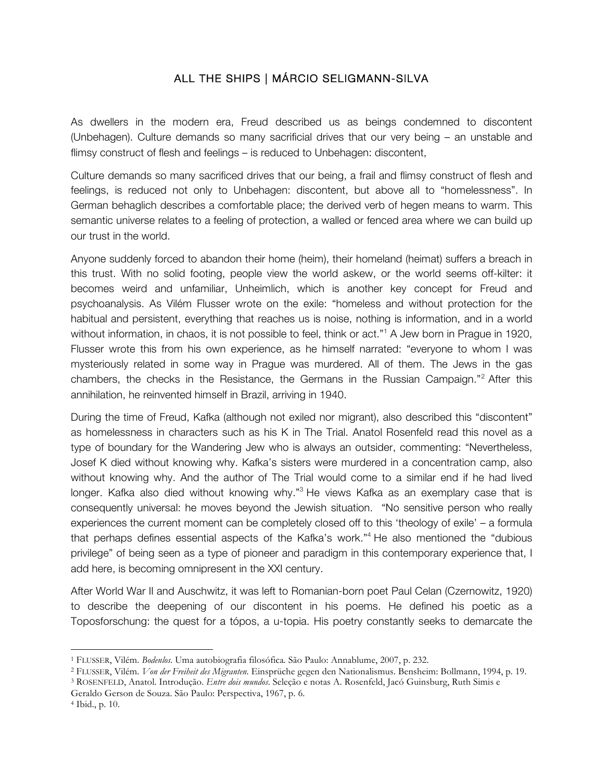## ALL THE SHIPS | MÁRCIO SELIGMANN-SILVA

As dwellers in the modern era, Freud described us as beings condemned to discontent (Unbehagen). Culture demands so many sacrificial drives that our very being – an unstable and flimsy construct of flesh and feelings – is reduced to Unbehagen: discontent,

Culture demands so many sacrificed drives that our being, a frail and flimsy construct of flesh and feelings, is reduced not only to Unbehagen: discontent, but above all to "homelessness". In German behaglich describes a comfortable place; the derived verb of hegen means to warm. This semantic universe relates to a feeling of protection, a walled or fenced area where we can build up our trust in the world.

Anyone suddenly forced to abandon their home (heim), their homeland (heimat) suffers a breach in this trust. With no solid footing, people view the world askew, or the world seems off-kilter: it becomes weird and unfamiliar, Unheimlich, which is another key concept for Freud and psychoanalysis. As Vilém Flusser wrote on the exile: "homeless and without protection for the habitual and persistent, everything that reaches us is noise, nothing is information, and in a world without information, in chaos, it is not possible to feel, think or act."<sup>1</sup> A Jew born in Prague in 1920, Flusser wrote this from his own experience, as he himself narrated: "everyone to whom I was mysteriously related in some way in Prague was murdered. All of them. The Jews in the gas chambers, the checks in the Resistance, the Germans in the Russian Campaign."2 After this annihilation, he reinvented himself in Brazil, arriving in 1940.

During the time of Freud, Kafka (although not exiled nor migrant), also described this "discontent" as homelessness in characters such as his K in The Trial. Anatol Rosenfeld read this novel as a type of boundary for the Wandering Jew who is always an outsider, commenting: "Nevertheless, Josef K died without knowing why. Kafka's sisters were murdered in a concentration camp, also without knowing why. And the author of The Trial would come to a similar end if he had lived longer. Kafka also died without knowing why."<sup>3</sup> He views Kafka as an exemplary case that is consequently universal: he moves beyond the Jewish situation. "No sensitive person who really experiences the current moment can be completely closed off to this 'theology of exile' – a formula that perhaps defines essential aspects of the Kafka's work."<sup>4</sup> He also mentioned the "dubious privilege" of being seen as a type of pioneer and paradigm in this contemporary experience that, I add here, is becoming omnipresent in the XXI century.

After World War II and Auschwitz, it was left to Romanian-born poet Paul Celan (Czernowitz, 1920) to describe the deepening of our discontent in his poems. He defined his poetic as a Toposforschung: the quest for a tópos, a u-topia. His poetry constantly seeks to demarcate the

 

<sup>1</sup> FLUSSER, Vilém. *Bodenlos.* Uma autobiografia filosófica*.* São Paulo: Annablume, 2007, p. 232.

<sup>2</sup> FLUSSER, Vilém. *Von der Freiheit des Migranten.* Einsprüche gegen den Nationalismus. Bensheim: Bollmann, 1994, p. 19.

<sup>3</sup> ROSENFELD, Anatol. Introdução. *Entre dois mundos*. Seleção e notas A. Rosenfeld, Jacó Guinsburg, Ruth Simis e

Geraldo Gerson de Souza. São Paulo: Perspectiva, 1967, p. 6. 4 Ibid., p. 10.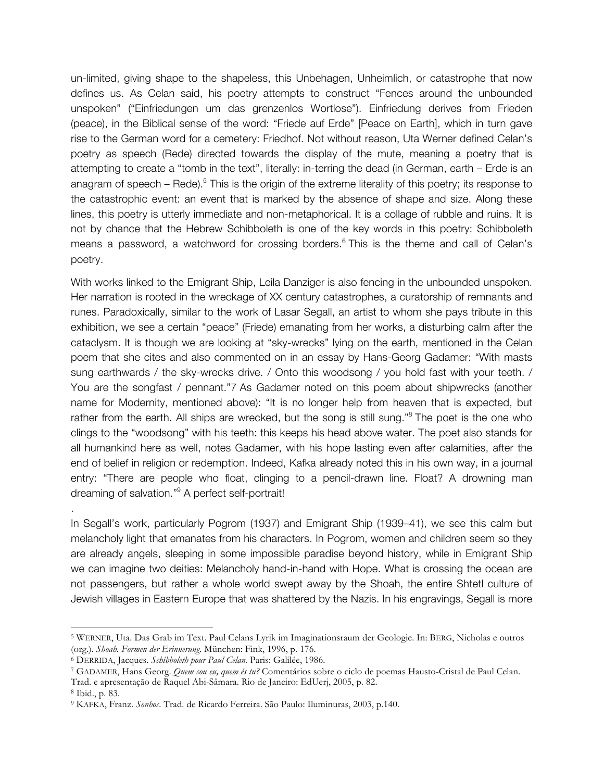un-limited, giving shape to the shapeless, this Unbehagen, Unheimlich, or catastrophe that now defines us. As Celan said, his poetry attempts to construct "Fences around the unbounded unspoken" ("Einfriedungen um das grenzenlos Wortlose"). Einfriedung derives from Frieden (peace), in the Biblical sense of the word: "Friede auf Erde" [Peace on Earth], which in turn gave rise to the German word for a cemetery: Friedhof. Not without reason, Uta Werner defined Celan's poetry as speech (Rede) directed towards the display of the mute, meaning a poetry that is attempting to create a "tomb in the text", literally: in-terring the dead (in German, earth – Erde is an anagram of speech – Rede).<sup>5</sup> This is the origin of the extreme literality of this poetry; its response to the catastrophic event: an event that is marked by the absence of shape and size. Along these lines, this poetry is utterly immediate and non-metaphorical. It is a collage of rubble and ruins. It is not by chance that the Hebrew Schibboleth is one of the key words in this poetry: Schibboleth means a password, a watchword for crossing borders. <sup>6</sup> This is the theme and call of Celan's poetry.

With works linked to the Emigrant Ship, Leila Danziger is also fencing in the unbounded unspoken. Her narration is rooted in the wreckage of XX century catastrophes, a curatorship of remnants and runes. Paradoxically, similar to the work of Lasar Segall, an artist to whom she pays tribute in this exhibition, we see a certain "peace" (Friede) emanating from her works, a disturbing calm after the cataclysm. It is though we are looking at "sky-wrecks" lying on the earth, mentioned in the Celan poem that she cites and also commented on in an essay by Hans-Georg Gadamer: "With masts sung earthwards / the sky-wrecks drive. / Onto this woodsong / you hold fast with your teeth. / You are the songfast / pennant."7 As Gadamer noted on this poem about shipwrecks (another name for Modernity, mentioned above): "It is no longer help from heaven that is expected, but rather from the earth. All ships are wrecked, but the song is still sung."<sup>8</sup> The poet is the one who clings to the "woodsong" with his teeth: this keeps his head above water. The poet also stands for all humankind here as well, notes Gadamer, with his hope lasting even after calamities, after the end of belief in religion or redemption. Indeed, Kafka already noted this in his own way, in a journal entry: "There are people who float, clinging to a pencil-drawn line. Float? A drowning man dreaming of salvation."9 A perfect self-portrait!

In Segall's work, particularly Pogrom (1937) and Emigrant Ship (1939–41), we see this calm but melancholy light that emanates from his characters. In Pogrom, women and children seem so they are already angels, sleeping in some impossible paradise beyond history, while in Emigrant Ship we can imagine two deities: Melancholy hand-in-hand with Hope. What is crossing the ocean are not passengers, but rather a whole world swept away by the Shoah, the entire Shtetl culture of Jewish villages in Eastern Europe that was shattered by the Nazis. In his engravings, Segall is more

<u> 1989 - Jan Samuel Barbara, margaret e</u>

.

<sup>5</sup> WERNER, Uta. Das Grab im Text. Paul Celans Lyrik im Imaginationsraum der Geologie. In: BERG, Nicholas e outros (org.). *Shoah. Formen der Erinnerung*. München: Fink, 1996, p. 176.

<sup>6</sup> DERRIDA, Jacques. *Schibboleth pour Paul Celan.* Paris: Galilée, 1986.

<sup>7</sup> GADAMER, Hans Georg. *Quem sou eu, quem és tu?* Comentários sobre o ciclo de poemas Hausto-Cristal de Paul Celan. Trad. e apresentação de Raquel Abi-Sâmara. Rio de Janeiro: EdUerj, 2005, p. 82.

<sup>8</sup> Ibid., p. 83.

<sup>9</sup> KAFKA, Franz. *Sonhos*. Trad. de Ricardo Ferreira. São Paulo: Iluminuras, 2003, p.140.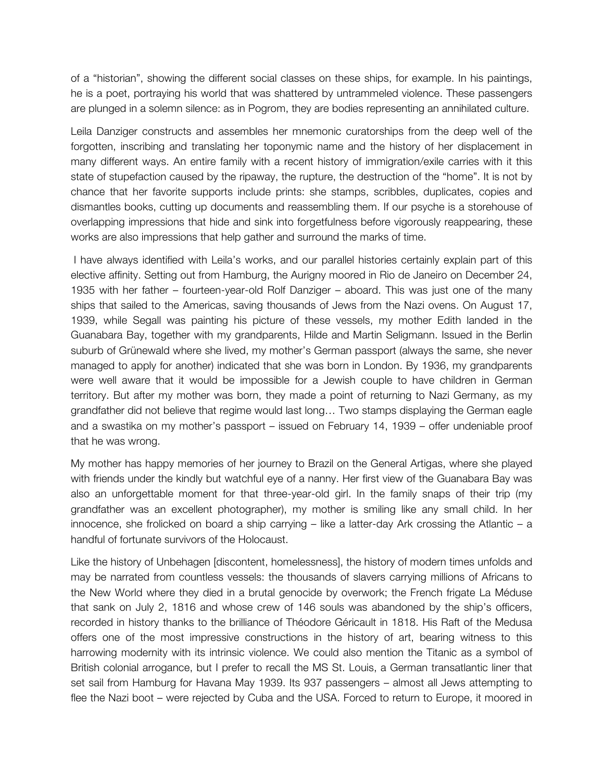of a "historian", showing the different social classes on these ships, for example. In his paintings, he is a poet, portraying his world that was shattered by untrammeled violence. These passengers are plunged in a solemn silence: as in Pogrom, they are bodies representing an annihilated culture.

Leila Danziger constructs and assembles her mnemonic curatorships from the deep well of the forgotten, inscribing and translating her toponymic name and the history of her displacement in many different ways. An entire family with a recent history of immigration/exile carries with it this state of stupefaction caused by the ripaway, the rupture, the destruction of the "home". It is not by chance that her favorite supports include prints: she stamps, scribbles, duplicates, copies and dismantles books, cutting up documents and reassembling them. If our psyche is a storehouse of overlapping impressions that hide and sink into forgetfulness before vigorously reappearing, these works are also impressions that help gather and surround the marks of time.

I have always identified with Leila's works, and our parallel histories certainly explain part of this elective affinity. Setting out from Hamburg, the Aurigny moored in Rio de Janeiro on December 24, 1935 with her father – fourteen-year-old Rolf Danziger – aboard. This was just one of the many ships that sailed to the Americas, saving thousands of Jews from the Nazi ovens. On August 17, 1939, while Segall was painting his picture of these vessels, my mother Edith landed in the Guanabara Bay, together with my grandparents, Hilde and Martin Seligmann. Issued in the Berlin suburb of Grünewald where she lived, my mother's German passport (always the same, she never managed to apply for another) indicated that she was born in London. By 1936, my grandparents were well aware that it would be impossible for a Jewish couple to have children in German territory. But after my mother was born, they made a point of returning to Nazi Germany, as my grandfather did not believe that regime would last long… Two stamps displaying the German eagle and a swastika on my mother's passport – issued on February 14, 1939 – offer undeniable proof that he was wrong.

My mother has happy memories of her journey to Brazil on the General Artigas, where she played with friends under the kindly but watchful eye of a nanny. Her first view of the Guanabara Bay was also an unforgettable moment for that three-year-old girl. In the family snaps of their trip (my grandfather was an excellent photographer), my mother is smiling like any small child. In her innocence, she frolicked on board a ship carrying – like a latter-day Ark crossing the Atlantic – a handful of fortunate survivors of the Holocaust.

Like the history of Unbehagen [discontent, homelessness], the history of modern times unfolds and may be narrated from countless vessels: the thousands of slavers carrying millions of Africans to the New World where they died in a brutal genocide by overwork; the French frigate La Méduse that sank on July 2, 1816 and whose crew of 146 souls was abandoned by the ship's officers, recorded in history thanks to the brilliance of Théodore Géricault in 1818. His Raft of the Medusa offers one of the most impressive constructions in the history of art, bearing witness to this harrowing modernity with its intrinsic violence. We could also mention the Titanic as a symbol of British colonial arrogance, but I prefer to recall the MS St. Louis, a German transatlantic liner that set sail from Hamburg for Havana May 1939. Its 937 passengers – almost all Jews attempting to flee the Nazi boot – were rejected by Cuba and the USA. Forced to return to Europe, it moored in